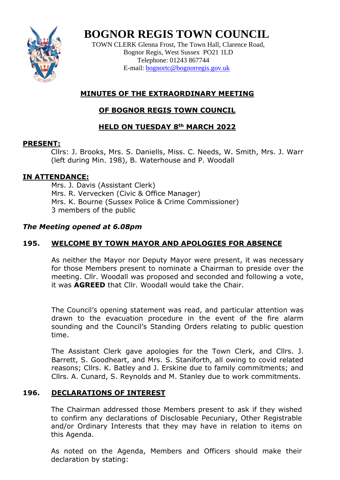

# **BOGNOR REGIS TOWN COUNCIL**

TOWN CLERK Glenna Frost, The Town Hall, Clarence Road, Bognor Regis, West Sussex PO21 1LD Telephone: 01243 867744 E-mail: **[bognortc@bognorregis.gov.uk](mailto:bognortc@bognorregis.gov.uk)** 

# **MINUTES OF THE EXTRAORDINARY MEETING**

# **OF BOGNOR REGIS TOWN COUNCIL**

# **HELD ON TUESDAY 8th MARCH 2022**

### **PRESENT:**

Cllrs: J. Brooks, Mrs. S. Daniells, Miss. C. Needs, W. Smith, Mrs. J. Warr (left during Min. 198), B. Waterhouse and P. Woodall

# **IN ATTENDANCE:**

Mrs. J. Davis (Assistant Clerk) Mrs. R. Vervecken (Civic & Office Manager) Mrs. K. Bourne (Sussex Police & Crime Commissioner) 3 members of the public

### *The Meeting opened at 6.08pm*

# **195. WELCOME BY TOWN MAYOR AND APOLOGIES FOR ABSENCE**

As neither the Mayor nor Deputy Mayor were present, it was necessary for those Members present to nominate a Chairman to preside over the meeting. Cllr. Woodall was proposed and seconded and following a vote, it was **AGREED** that Cllr. Woodall would take the Chair.

The Council's opening statement was read, and particular attention was drawn to the evacuation procedure in the event of the fire alarm sounding and the Council's Standing Orders relating to public question time.

The Assistant Clerk gave apologies for the Town Clerk, and Cllrs. J. Barrett, S. Goodheart, and Mrs. S. Staniforth, all owing to covid related reasons; Cllrs. K. Batley and J. Erskine due to family commitments; and Cllrs. A. Cunard, S. Reynolds and M. Stanley due to work commitments.

# **196. DECLARATIONS OF INTEREST**

The Chairman addressed those Members present to ask if they wished to confirm any declarations of Disclosable Pecuniary, Other Registrable and/or Ordinary Interests that they may have in relation to items on this Agenda.

As noted on the Agenda, Members and Officers should make their declaration by stating: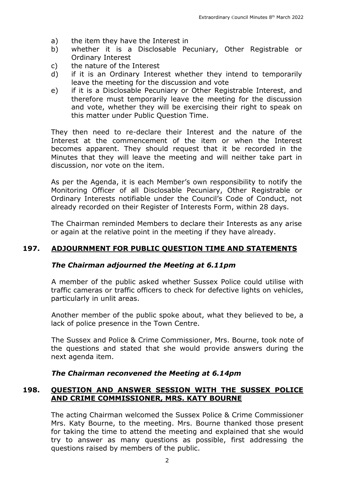- a) the item they have the Interest in
- b) whether it is a Disclosable Pecuniary, Other Registrable or Ordinary Interest
- c) the nature of the Interest
- d) if it is an Ordinary Interest whether they intend to temporarily leave the meeting for the discussion and vote
- e) if it is a Disclosable Pecuniary or Other Registrable Interest, and therefore must temporarily leave the meeting for the discussion and vote, whether they will be exercising their right to speak on this matter under Public Question Time.

They then need to re-declare their Interest and the nature of the Interest at the commencement of the item or when the Interest becomes apparent. They should request that it be recorded in the Minutes that they will leave the meeting and will neither take part in discussion, nor vote on the item.

As per the Agenda, it is each Member's own responsibility to notify the Monitoring Officer of all Disclosable Pecuniary, Other Registrable or Ordinary Interests notifiable under the Council's Code of Conduct, not already recorded on their Register of Interests Form, within 28 days.

The Chairman reminded Members to declare their Interests as any arise or again at the relative point in the meeting if they have already.

#### **197. ADJOURNMENT FOR PUBLIC QUESTION TIME AND STATEMENTS**

#### *The Chairman adjourned the Meeting at 6.11pm*

A member of the public asked whether Sussex Police could utilise with traffic cameras or traffic officers to check for defective lights on vehicles, particularly in unlit areas.

Another member of the public spoke about, what they believed to be, a lack of police presence in the Town Centre.

The Sussex and Police & Crime Commissioner, Mrs. Bourne, took note of the questions and stated that she would provide answers during the next agenda item.

#### *The Chairman reconvened the Meeting at 6.14pm*

#### **198. QUESTION AND ANSWER SESSION WITH THE SUSSEX POLICE AND CRIME COMMISSIONER, MRS. KATY BOURNE**

The acting Chairman welcomed the Sussex Police & Crime Commissioner Mrs. Katy Bourne, to the meeting. Mrs. Bourne thanked those present for taking the time to attend the meeting and explained that she would try to answer as many questions as possible, first addressing the questions raised by members of the public.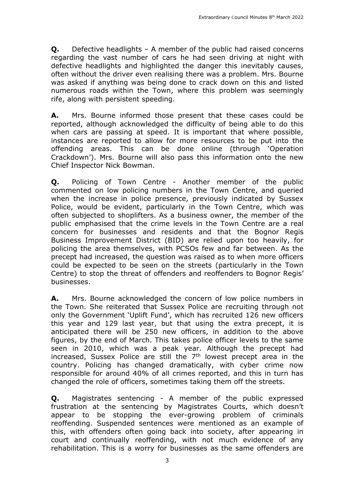**Q.** Defective headlights – A member of the public had raised concerns regarding the vast number of cars he had seen driving at night with defective headlights and highlighted the danger this inevitably causes, often without the driver even realising there was a problem. Mrs. Bourne was asked if anything was being done to crack down on this and listed numerous roads within the Town, where this problem was seemingly rife, along with persistent speeding.

**A.** Mrs. Bourne informed those present that these cases could be reported, although acknowledged the difficulty of being able to do this when cars are passing at speed. It is important that where possible, instances are reported to allow for more resources to be put into the offending areas. This can be done online (through 'Operation Crackdown'). Mrs. Bourne will also pass this information onto the new Chief Inspector Nick Bowman.

**Q.** Policing of Town Centre - Another member of the public commented on low policing numbers in the Town Centre, and queried when the increase in police presence, previously indicated by Sussex Police, would be evident, particularly in the Town Centre, which was often subjected to shoplifters. As a business owner, the member of the public emphasised that the crime levels in the Town Centre are a real concern for businesses and residents and that the Bognor Regis Business Improvement District (BID) are relied upon too heavily, for policing the area themselves, with PCSOs few and far between. As the precept had increased, the question was raised as to when more officers could be expected to be seen on the streets (particularly in the Town Centre) to stop the threat of offenders and reoffenders to Bognor Regis' businesses.

**A.** Mrs. Bourne acknowledged the concern of low police numbers in the Town. She reiterated that Sussex Police are recruiting through not only the Government 'Uplift Fund', which has recruited 126 new officers this year and 129 last year, but that using the extra precept, it is anticipated there will be 250 new officers, in addition to the above figures, by the end of March. This takes police officer levels to the same seen in 2010, which was a peak year. Although the precept had increased, Sussex Police are still the  $7<sup>th</sup>$  lowest precept area in the country. Policing has changed dramatically, with cyber crime now responsible for around 40% of all crimes reported, and this in turn has changed the role of officers, sometimes taking them off the streets.

**Q.** Magistrates sentencing - A member of the public expressed frustration at the sentencing by Magistrates Courts, which doesn't appear to be stopping the ever-growing problem of criminals reoffending. Suspended sentences were mentioned as an example of this, with offenders often going back into society, after appearing in court and continually reoffending, with not much evidence of any rehabilitation. This is a worry for businesses as the same offenders are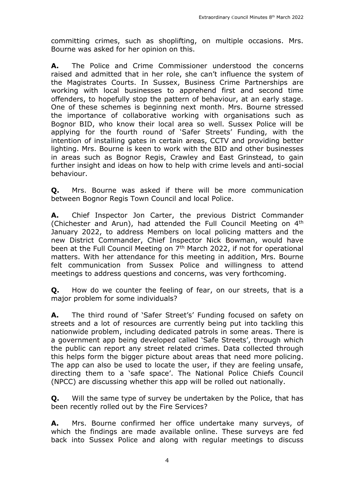committing crimes, such as shoplifting, on multiple occasions. Mrs. Bourne was asked for her opinion on this.

**A.** The Police and Crime Commissioner understood the concerns raised and admitted that in her role, she can't influence the system of the Magistrates Courts. In Sussex, Business Crime Partnerships are working with local businesses to apprehend first and second time offenders, to hopefully stop the pattern of behaviour, at an early stage. One of these schemes is beginning next month. Mrs. Bourne stressed the importance of collaborative working with organisations such as Bognor BID, who know their local area so well. Sussex Police will be applying for the fourth round of 'Safer Streets' Funding, with the intention of installing gates in certain areas, CCTV and providing better lighting. Mrs. Bourne is keen to work with the BID and other businesses in areas such as Bognor Regis, Crawley and East Grinstead, to gain further insight and ideas on how to help with crime levels and anti-social behaviour.

**Q.** Mrs. Bourne was asked if there will be more communication between Bognor Regis Town Council and local Police.

**A.** Chief Inspector Jon Carter, the previous District Commander (Chichester and Arun), had attended the Full Council Meeting on 4th January 2022, to address Members on local policing matters and the new District Commander, Chief Inspector Nick Bowman, would have been at the Full Council Meeting on 7<sup>th</sup> March 2022, if not for operational matters. With her attendance for this meeting in addition, Mrs. Bourne felt communication from Sussex Police and willingness to attend meetings to address questions and concerns, was very forthcoming.

**Q.** How do we counter the feeling of fear, on our streets, that is a major problem for some individuals?

**A.** The third round of 'Safer Street's' Funding focused on safety on streets and a lot of resources are currently being put into tackling this nationwide problem, including dedicated patrols in some areas. There is a government app being developed called 'Safe Streets', through which the public can report any street related crimes. Data collected through this helps form the bigger picture about areas that need more policing. The app can also be used to locate the user, if they are feeling unsafe, directing them to a 'safe space'. The National Police Chiefs Council (NPCC) are discussing whether this app will be rolled out nationally.

**Q.** Will the same type of survey be undertaken by the Police, that has been recently rolled out by the Fire Services?

**A.** Mrs. Bourne confirmed her office undertake many surveys, of which the findings are made available online. These surveys are fed back into Sussex Police and along with regular meetings to discuss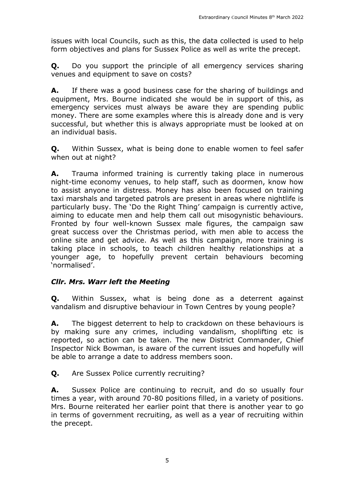issues with local Councils, such as this, the data collected is used to help form objectives and plans for Sussex Police as well as write the precept.

**Q.** Do you support the principle of all emergency services sharing venues and equipment to save on costs?

**A.** If there was a good business case for the sharing of buildings and equipment, Mrs. Bourne indicated she would be in support of this, as emergency services must always be aware they are spending public money. There are some examples where this is already done and is very successful, but whether this is always appropriate must be looked at on an individual basis.

**Q.** Within Sussex, what is being done to enable women to feel safer when out at night?

**A.** Trauma informed training is currently taking place in numerous night-time economy venues, to help staff, such as doormen, know how to assist anyone in distress. Money has also been focused on training taxi marshals and targeted patrols are present in areas where nightlife is particularly busy. The 'Do the Right Thing' campaign is currently active, aiming to educate men and help them call out misogynistic behaviours. Fronted by four well-known Sussex male figures, the campaign saw great success over the Christmas period, with men able to access the online site and get advice. As well as this campaign, more training is taking place in schools, to teach children healthy relationships at a younger age, to hopefully prevent certain behaviours becoming 'normalised'.

#### *Cllr. Mrs. Warr left the Meeting*

**Q.** Within Sussex, what is being done as a deterrent against vandalism and disruptive behaviour in Town Centres by young people?

**A.** The biggest deterrent to help to crackdown on these behaviours is by making sure any crimes, including vandalism, shoplifting etc is reported, so action can be taken. The new District Commander, Chief Inspector Nick Bowman, is aware of the current issues and hopefully will be able to arrange a date to address members soon.

**Q.** Are Sussex Police currently recruiting?

**A.** Sussex Police are continuing to recruit, and do so usually four times a year, with around 70-80 positions filled, in a variety of positions. Mrs. Bourne reiterated her earlier point that there is another year to go in terms of government recruiting, as well as a year of recruiting within the precept.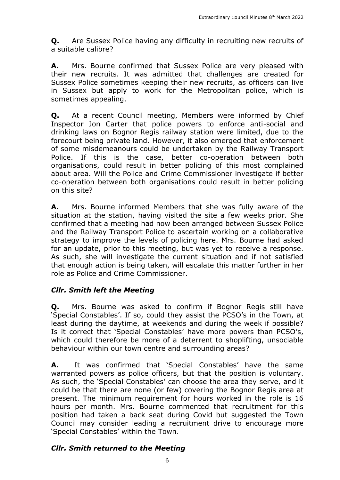**Q.** Are Sussex Police having any difficulty in recruiting new recruits of a suitable calibre?

**A.** Mrs. Bourne confirmed that Sussex Police are very pleased with their new recruits. It was admitted that challenges are created for Sussex Police sometimes keeping their new recruits, as officers can live in Sussex but apply to work for the Metropolitan police, which is sometimes appealing.

**Q.** At a recent Council meeting, Members were informed by Chief Inspector Jon Carter that police powers to enforce anti-social and drinking laws on Bognor Regis railway station were limited, due to the forecourt being private land. However, it also emerged that enforcement of some misdemeanours could be undertaken by the Railway Transport Police. If this is the case, better co-operation between both organisations, could result in better policing of this most complained about area. Will the Police and Crime Commissioner investigate if better co-operation between both organisations could result in better policing on this site?

**A.** Mrs. Bourne informed Members that she was fully aware of the situation at the station, having visited the site a few weeks prior. She confirmed that a meeting had now been arranged between Sussex Police and the Railway Transport Police to ascertain working on a collaborative strategy to improve the levels of policing here. Mrs. Bourne had asked for an update, prior to this meeting, but was yet to receive a response. As such, she will investigate the current situation and if not satisfied that enough action is being taken, will escalate this matter further in her role as Police and Crime Commissioner.

#### *Cllr. Smith left the Meeting*

**Q.** Mrs. Bourne was asked to confirm if Bognor Regis still have 'Special Constables'. If so, could they assist the PCSO's in the Town, at least during the daytime, at weekends and during the week if possible? Is it correct that 'Special Constables' have more powers than PCSO's, which could therefore be more of a deterrent to shoplifting, unsociable behaviour within our town centre and surrounding areas?

**A.** It was confirmed that 'Special Constables' have the same warranted powers as police officers, but that the position is voluntary. As such, the 'Special Constables' can choose the area they serve, and it could be that there are none (or few) covering the Bognor Regis area at present. The minimum requirement for hours worked in the role is 16 hours per month. Mrs. Bourne commented that recruitment for this position had taken a back seat during Covid but suggested the Town Council may consider leading a recruitment drive to encourage more 'Special Constables' within the Town.

#### *Cllr. Smith returned to the Meeting*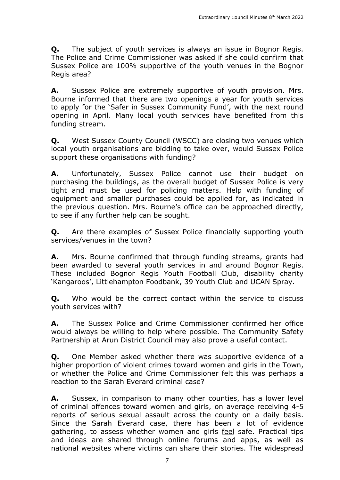**Q.** The subject of youth services is always an issue in Bognor Regis. The Police and Crime Commissioner was asked if she could confirm that Sussex Police are 100% supportive of the youth venues in the Bognor Regis area?

**A.** Sussex Police are extremely supportive of youth provision. Mrs. Bourne informed that there are two openings a year for youth services to apply for the 'Safer in Sussex Community Fund', with the next round opening in April. Many local youth services have benefited from this funding stream.

**Q.** West Sussex County Council (WSCC) are closing two venues which local youth organisations are bidding to take over, would Sussex Police support these organisations with funding?

**A.** Unfortunately, Sussex Police cannot use their budget on purchasing the buildings, as the overall budget of Sussex Police is very tight and must be used for policing matters. Help with funding of equipment and smaller purchases could be applied for, as indicated in the previous question. Mrs. Bourne's office can be approached directly, to see if any further help can be sought.

**Q.** Are there examples of Sussex Police financially supporting youth services/venues in the town?

**A.** Mrs. Bourne confirmed that through funding streams, grants had been awarded to several youth services in and around Bognor Regis. These included Bognor Regis Youth Football Club, disability charity 'Kangaroos', Littlehampton Foodbank, 39 Youth Club and UCAN Spray.

**O.** Who would be the correct contact within the service to discuss youth services with?

**A.** The Sussex Police and Crime Commissioner confirmed her office would always be willing to help where possible. The Community Safety Partnership at Arun District Council may also prove a useful contact.

**Q.** One Member asked whether there was supportive evidence of a higher proportion of violent crimes toward women and girls in the Town, or whether the Police and Crime Commissioner felt this was perhaps a reaction to the Sarah Everard criminal case?

**A.** Sussex, in comparison to many other counties, has a lower level of criminal offences toward women and girls, on average receiving 4-5 reports of serious sexual assault across the county on a daily basis. Since the Sarah Everard case, there has been a lot of evidence gathering, to assess whether women and girls feel safe. Practical tips and ideas are shared through online forums and apps, as well as national websites where victims can share their stories. The widespread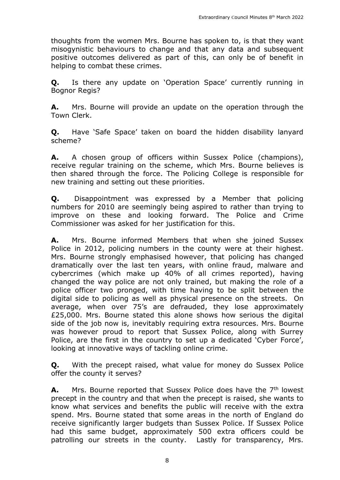thoughts from the women Mrs. Bourne has spoken to, is that they want misogynistic behaviours to change and that any data and subsequent positive outcomes delivered as part of this, can only be of benefit in helping to combat these crimes.

**Q.** Is there any update on 'Operation Space' currently running in Bognor Regis?

**A.** Mrs. Bourne will provide an update on the operation through the Town Clerk.

**Q.** Have 'Safe Space' taken on board the hidden disability lanyard scheme?

**A.** A chosen group of officers within Sussex Police (champions), receive regular training on the scheme, which Mrs. Bourne believes is then shared through the force. The Policing College is responsible for new training and setting out these priorities.

**Q.** Disappointment was expressed by a Member that policing numbers for 2010 are seemingly being aspired to rather than trying to improve on these and looking forward. The Police and Crime Commissioner was asked for her justification for this.

**A.** Mrs. Bourne informed Members that when she joined Sussex Police in 2012, policing numbers in the county were at their highest. Mrs. Bourne strongly emphasised however, that policing has changed dramatically over the last ten years, with online fraud, malware and cybercrimes (which make up 40% of all crimes reported), having changed the way police are not only trained, but making the role of a police officer two pronged, with time having to be split between the digital side to policing as well as physical presence on the streets. On average, when over 75's are defrauded, they lose approximately £25,000. Mrs. Bourne stated this alone shows how serious the digital side of the job now is, inevitably requiring extra resources. Mrs. Bourne was however proud to report that Sussex Police, along with Surrey Police, are the first in the country to set up a dedicated 'Cyber Force', looking at innovative ways of tackling online crime.

**Q.** With the precept raised, what value for money do Sussex Police offer the county it serves?

**A.** Mrs. Bourne reported that Sussex Police does have the 7<sup>th</sup> lowest precept in the country and that when the precept is raised, she wants to know what services and benefits the public will receive with the extra spend. Mrs. Bourne stated that some areas in the north of England do receive significantly larger budgets than Sussex Police. If Sussex Police had this same budget, approximately 500 extra officers could be patrolling our streets in the county. Lastly for transparency, Mrs.